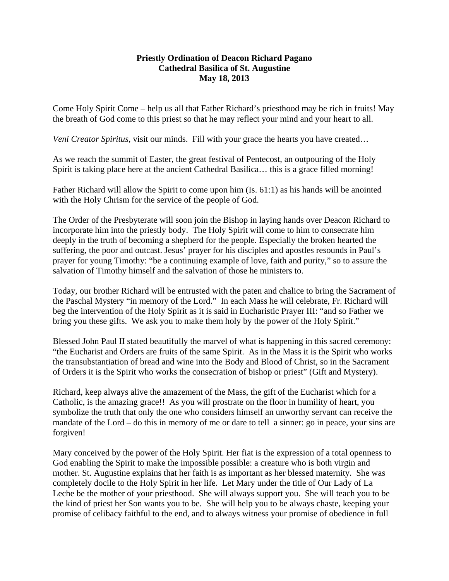## **Priestly Ordination of Deacon Richard Pagano Cathedral Basilica of St. Augustine May 18, 2013**

Come Holy Spirit Come – help us all that Father Richard's priesthood may be rich in fruits! May the breath of God come to this priest so that he may reflect your mind and your heart to all.

*Veni Creator Spiritus*, visit our minds. Fill with your grace the hearts you have created…

As we reach the summit of Easter, the great festival of Pentecost, an outpouring of the Holy Spirit is taking place here at the ancient Cathedral Basilica… this is a grace filled morning!

Father Richard will allow the Spirit to come upon him (Is. 61:1) as his hands will be anointed with the Holy Chrism for the service of the people of God.

The Order of the Presbyterate will soon join the Bishop in laying hands over Deacon Richard to incorporate him into the priestly body. The Holy Spirit will come to him to consecrate him deeply in the truth of becoming a shepherd for the people. Especially the broken hearted the suffering, the poor and outcast. Jesus' prayer for his disciples and apostles resounds in Paul's prayer for young Timothy: "be a continuing example of love, faith and purity," so to assure the salvation of Timothy himself and the salvation of those he ministers to.

Today, our brother Richard will be entrusted with the paten and chalice to bring the Sacrament of the Paschal Mystery "in memory of the Lord." In each Mass he will celebrate, Fr. Richard will beg the intervention of the Holy Spirit as it is said in Eucharistic Prayer III: "and so Father we bring you these gifts. We ask you to make them holy by the power of the Holy Spirit."

Blessed John Paul II stated beautifully the marvel of what is happening in this sacred ceremony: "the Eucharist and Orders are fruits of the same Spirit. As in the Mass it is the Spirit who works the transubstantiation of bread and wine into the Body and Blood of Christ, so in the Sacrament of Orders it is the Spirit who works the consecration of bishop or priest" (Gift and Mystery).

Richard, keep always alive the amazement of the Mass, the gift of the Eucharist which for a Catholic, is the amazing grace!! As you will prostrate on the floor in humility of heart, you symbolize the truth that only the one who considers himself an unworthy servant can receive the mandate of the Lord – do this in memory of me or dare to tell a sinner: go in peace, your sins are forgiven!

Mary conceived by the power of the Holy Spirit. Her fiat is the expression of a total openness to God enabling the Spirit to make the impossible possible: a creature who is both virgin and mother. St. Augustine explains that her faith is as important as her blessed maternity. She was completely docile to the Holy Spirit in her life. Let Mary under the title of Our Lady of La Leche be the mother of your priesthood. She will always support you. She will teach you to be the kind of priest her Son wants you to be. She will help you to be always chaste, keeping your promise of celibacy faithful to the end, and to always witness your promise of obedience in full